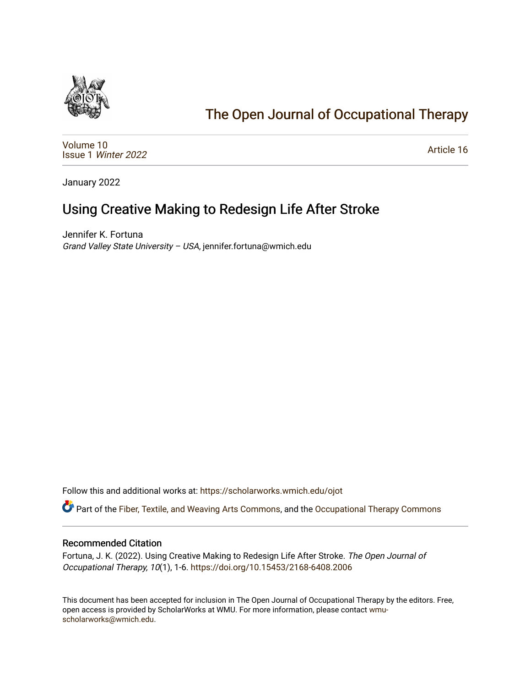

# [The Open Journal of Occupational Therapy](https://scholarworks.wmich.edu/ojot)

[Volume 10](https://scholarworks.wmich.edu/ojot/vol10) Issue 1 [Winter 2022](https://scholarworks.wmich.edu/ojot/vol10/iss1) 

[Article 16](https://scholarworks.wmich.edu/ojot/vol10/iss1/16) 

January 2022

# Using Creative Making to Redesign Life After Stroke

Jennifer K. Fortuna Grand Valley State University – USA, jennifer.fortuna@wmich.edu

Follow this and additional works at: [https://scholarworks.wmich.edu/ojot](https://scholarworks.wmich.edu/ojot?utm_source=scholarworks.wmich.edu%2Fojot%2Fvol10%2Fiss1%2F16&utm_medium=PDF&utm_campaign=PDFCoverPages)

Part of the [Fiber, Textile, and Weaving Arts Commons](http://network.bepress.com/hgg/discipline/1337?utm_source=scholarworks.wmich.edu%2Fojot%2Fvol10%2Fiss1%2F16&utm_medium=PDF&utm_campaign=PDFCoverPages), and the [Occupational Therapy Commons](http://network.bepress.com/hgg/discipline/752?utm_source=scholarworks.wmich.edu%2Fojot%2Fvol10%2Fiss1%2F16&utm_medium=PDF&utm_campaign=PDFCoverPages) 

#### Recommended Citation

Fortuna, J. K. (2022). Using Creative Making to Redesign Life After Stroke. The Open Journal of Occupational Therapy, 10(1), 1-6. <https://doi.org/10.15453/2168-6408.2006>

This document has been accepted for inclusion in The Open Journal of Occupational Therapy by the editors. Free, open access is provided by ScholarWorks at WMU. For more information, please contact [wmu](mailto:wmu-scholarworks@wmich.edu)[scholarworks@wmich.edu.](mailto:wmu-scholarworks@wmich.edu)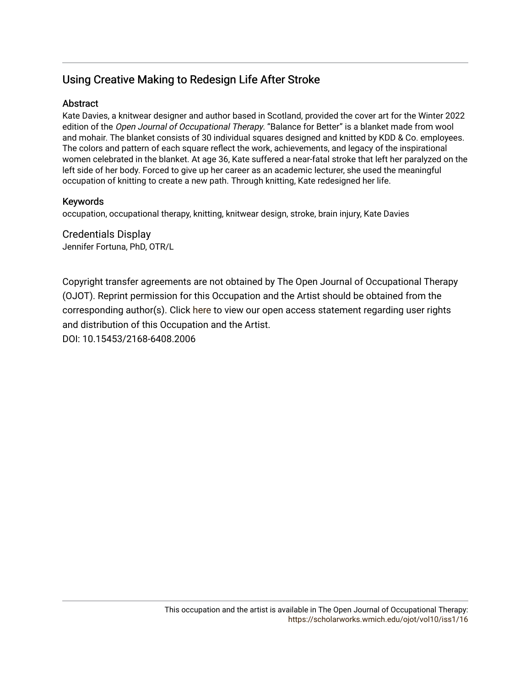## Using Creative Making to Redesign Life After Stroke

### **Abstract**

Kate Davies, a knitwear designer and author based in Scotland, provided the cover art for the Winter 2022 edition of the Open Journal of Occupational Therapy. "Balance for Better" is a blanket made from wool and mohair. The blanket consists of 30 individual squares designed and knitted by KDD & Co. employees. The colors and pattern of each square reflect the work, achievements, and legacy of the inspirational women celebrated in the blanket. At age 36, Kate suffered a near-fatal stroke that left her paralyzed on the left side of her body. Forced to give up her career as an academic lecturer, she used the meaningful occupation of knitting to create a new path. Through knitting, Kate redesigned her life.

### Keywords

occupation, occupational therapy, knitting, knitwear design, stroke, brain injury, Kate Davies

Credentials Display Jennifer Fortuna, PhD, OTR/L

Copyright transfer agreements are not obtained by The Open Journal of Occupational Therapy (OJOT). Reprint permission for this Occupation and the Artist should be obtained from the corresponding author(s). Click [here](https://scholarworks.wmich.edu/ojot/policies.html#rights) to view our open access statement regarding user rights and distribution of this Occupation and the Artist.

DOI: 10.15453/2168-6408.2006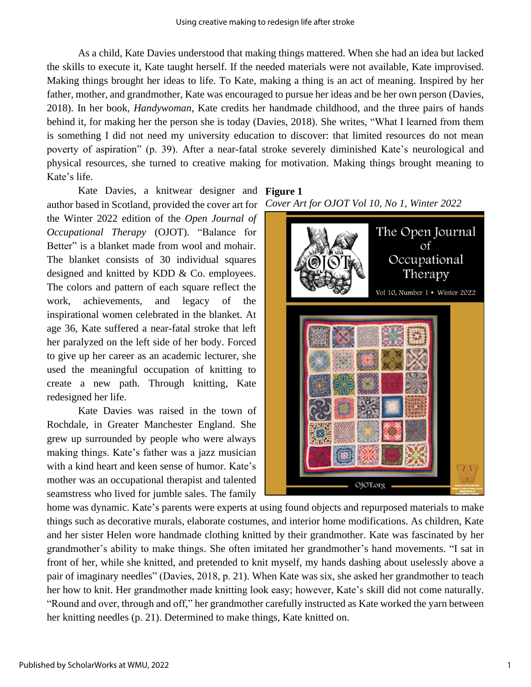As a child, Kate Davies understood that making things mattered. When she had an idea but lacked the skills to execute it, Kate taught herself. If the needed materials were not available, Kate improvised. Making things brought her ideas to life. To Kate, making a thing is an act of meaning. Inspired by her father, mother, and grandmother, Kate was encouraged to pursue her ideas and be her own person (Davies, 2018). In her book, *Handywoman*, Kate credits her handmade childhood, and the three pairs of hands behind it, for making her the person she is today (Davies, 2018). She writes, "What I learned from them is something I did not need my university education to discover: that limited resources do not mean poverty of aspiration" (p. 39). After a near-fatal stroke severely diminished Kate's neurological and physical resources, she turned to creative making for motivation. Making things brought meaning to Kate's life.

Kate Davies, a knitwear designer and **Figure 1**  author based in Scotland, provided the cover art for the Winter 2022 edition of the *Open Journal of Occupational Therapy* (OJOT). "Balance for Better" is a blanket made from wool and mohair. The blanket consists of 30 individual squares designed and knitted by KDD & Co. employees. The colors and pattern of each square reflect the work, achievements, and legacy of the inspirational women celebrated in the blanket. At age 36, Kate suffered a near-fatal stroke that left her paralyzed on the left side of her body. Forced to give up her career as an academic lecturer, she used the meaningful occupation of knitting to create a new path. Through knitting, Kate redesigned her life.

Kate Davies was raised in the town of Rochdale, in Greater Manchester England. She grew up surrounded by people who were always making things. Kate's father was a jazz musician with a kind heart and keen sense of humor. Kate's mother was an occupational therapist and talented seamstress who lived for jumble sales. The family

*Cover Art for OJOT Vol 10, No 1, Winter 2022*



home was dynamic. Kate's parents were experts at using found objects and repurposed materials to make things such as decorative murals, elaborate costumes, and interior home modifications. As children, Kate and her sister Helen wore handmade clothing knitted by their grandmother. Kate was fascinated by her grandmother's ability to make things. She often imitated her grandmother's hand movements. "I sat in front of her, while she knitted, and pretended to knit myself, my hands dashing about uselessly above a pair of imaginary needles" (Davies, 2018, p. 21). When Kate was six, she asked her grandmother to teach her how to knit. Her grandmother made knitting look easy; however, Kate's skill did not come naturally. "Round and over, through and off," her grandmother carefully instructed as Kate worked the yarn between her knitting needles (p. 21). Determined to make things, Kate knitted on.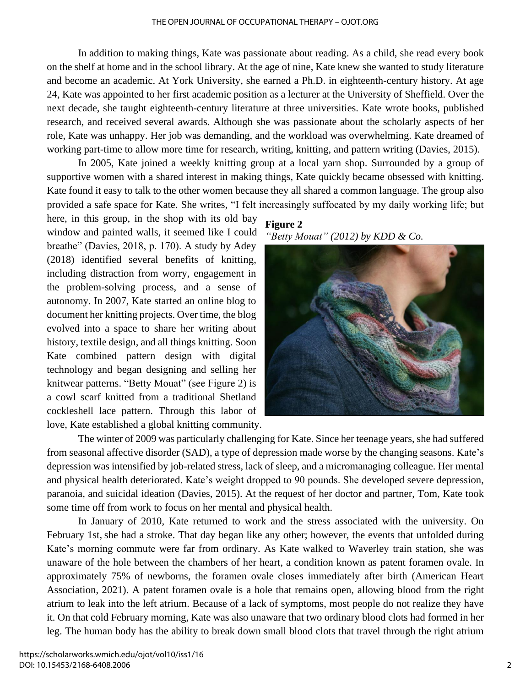In addition to making things, Kate was passionate about reading. As a child, she read every book on the shelf at home and in the school library. At the age of nine, Kate knew she wanted to study literature and become an academic. At York University, she earned a Ph.D. in eighteenth-century history. At age 24, Kate was appointed to her first academic position as a lecturer at the University of Sheffield. Over the next decade, she taught eighteenth-century literature at three universities. Kate wrote books, published research, and received several awards. Although she was passionate about the scholarly aspects of her role, Kate was unhappy. Her job was demanding, and the workload was overwhelming. Kate dreamed of working part-time to allow more time for research, writing, knitting, and pattern writing (Davies, 2015).

In 2005, Kate joined a weekly knitting group at a local yarn shop. Surrounded by a group of supportive women with a shared interest in making things, Kate quickly became obsessed with knitting. Kate found it easy to talk to the other women because they all shared a common language. The group also provided a safe space for Kate. She writes, "I felt increasingly suffocated by my daily working life; but

here, in this group, in the shop with its old bay window and painted walls, it seemed like I could breathe" (Davies, 2018, p. 170). A study by Adey (2018) identified several benefits of knitting, including distraction from worry, engagement in the problem-solving process, and a sense of autonomy. In 2007, Kate started an online blog to document her knitting projects. Over time, the blog evolved into a space to share her writing about history, textile design, and all things knitting. Soon Kate combined pattern design with digital technology and began designing and selling her knitwear patterns. "Betty Mouat" (see Figure 2) is a cowl scarf knitted from a traditional Shetland cockleshell lace pattern. Through this labor of love, Kate established a global knitting community.

### **Figure 2** *"Betty Mouat" (2012) by KDD & Co.*



The winter of 2009 was particularly challenging for Kate. Since her teenage years, she had suffered from seasonal affective disorder (SAD), a type of depression made worse by the changing seasons. Kate's depression was intensified by job-related stress, lack of sleep, and a micromanaging colleague. Her mental and physical health deteriorated. Kate's weight dropped to 90 pounds. She developed severe depression, paranoia, and suicidal ideation (Davies, 2015). At the request of her doctor and partner, Tom, Kate took some time off from work to focus on her mental and physical health.

In January of 2010, Kate returned to work and the stress associated with the university. On February 1st, she had a stroke. That day began like any other; however, the events that unfolded during Kate's morning commute were far from ordinary. As Kate walked to Waverley train station, she was unaware of the hole between the chambers of her heart, a condition known as patent foramen ovale. In approximately 75% of newborns, the foramen ovale closes immediately after birth (American Heart Association, 2021). A patent foramen ovale is a hole that remains open, allowing blood from the right atrium to leak into the left atrium. Because of a lack of symptoms, most people do not realize they have it. On that cold February morning, Kate was also unaware that two ordinary blood clots had formed in her leg. The human body has the ability to break down small blood clots that travel through the right atrium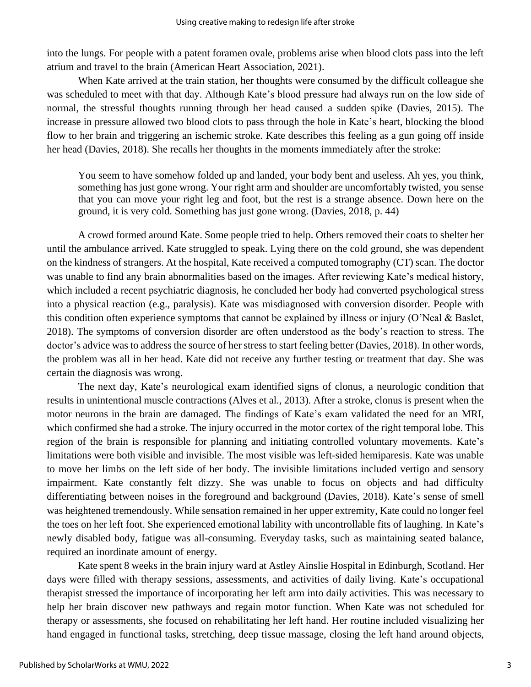into the lungs. For people with a patent foramen ovale, problems arise when blood clots pass into the left atrium and travel to the brain (American Heart Association, 2021).

When Kate arrived at the train station, her thoughts were consumed by the difficult colleague she was scheduled to meet with that day. Although Kate's blood pressure had always run on the low side of normal, the stressful thoughts running through her head caused a sudden spike (Davies, 2015). The increase in pressure allowed two blood clots to pass through the hole in Kate's heart, blocking the blood flow to her brain and triggering an ischemic stroke. Kate describes this feeling as a gun going off inside her head (Davies, 2018). She recalls her thoughts in the moments immediately after the stroke:

You seem to have somehow folded up and landed, your body bent and useless. Ah yes, you think, something has just gone wrong. Your right arm and shoulder are uncomfortably twisted, you sense that you can move your right leg and foot, but the rest is a strange absence. Down here on the ground, it is very cold. Something has just gone wrong. (Davies, 2018, p. 44)

A crowd formed around Kate. Some people tried to help. Others removed their coats to shelter her until the ambulance arrived. Kate struggled to speak. Lying there on the cold ground, she was dependent on the kindness of strangers. At the hospital, Kate received a computed tomography (CT) scan. The doctor was unable to find any brain abnormalities based on the images. After reviewing Kate's medical history, which included a recent psychiatric diagnosis, he concluded her body had converted psychological stress into a physical reaction (e.g., paralysis). Kate was misdiagnosed with conversion disorder. People with this condition often experience symptoms that cannot be explained by illness or injury (O'Neal & Baslet, 2018). The symptoms of conversion disorder are often understood as the body's reaction to stress. The doctor's advice was to address the source of her stress to start feeling better (Davies, 2018). In other words, the problem was all in her head. Kate did not receive any further testing or treatment that day. She was certain the diagnosis was wrong.

The next day, Kate's neurological exam identified signs of clonus, a neurologic condition that results in unintentional muscle contractions (Alves et al., 2013). After a stroke, clonus is present when the motor neurons in the brain are damaged. The findings of Kate's exam validated the need for an MRI, which confirmed she had a stroke. The injury occurred in the motor cortex of the right temporal lobe. This region of the brain is responsible for planning and initiating controlled voluntary movements. Kate's limitations were both visible and invisible. The most visible was left-sided hemiparesis. Kate was unable to move her limbs on the left side of her body. The invisible limitations included vertigo and sensory impairment. Kate constantly felt dizzy. She was unable to focus on objects and had difficulty differentiating between noises in the foreground and background (Davies, 2018). Kate's sense of smell was heightened tremendously. While sensation remained in her upper extremity, Kate could no longer feel the toes on her left foot. She experienced emotional lability with uncontrollable fits of laughing. In Kate's newly disabled body, fatigue was all-consuming. Everyday tasks, such as maintaining seated balance, required an inordinate amount of energy.

Kate spent 8 weeks in the brain injury ward at Astley Ainslie Hospital in Edinburgh, Scotland. Her days were filled with therapy sessions, assessments, and activities of daily living. Kate's occupational therapist stressed the importance of incorporating her left arm into daily activities. This was necessary to help her brain discover new pathways and regain motor function. When Kate was not scheduled for therapy or assessments, she focused on rehabilitating her left hand. Her routine included visualizing her hand engaged in functional tasks, stretching, deep tissue massage, closing the left hand around objects,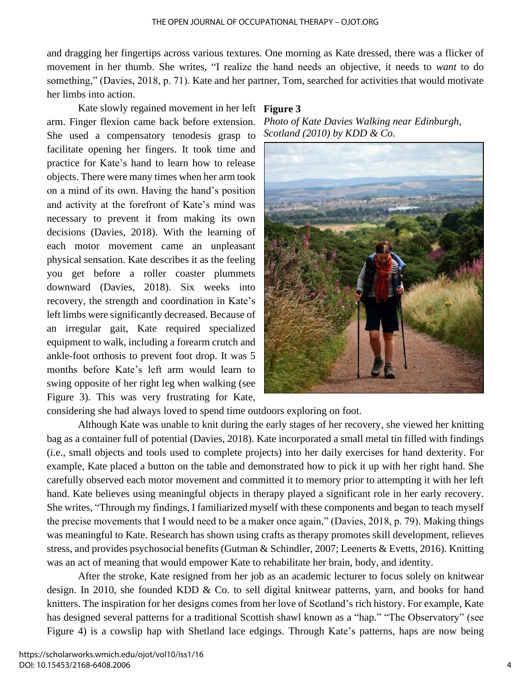and dragging her fingertips across various textures. One morning as Kate dressed, there was a flicker of movement in her thumb. She writes, "I realize the hand needs an objective, it needs to *want* to do something," (Davies, 2018, p. 71). Kate and her partner, Tom, searched for activities that would motivate her limbs into action.

Kate slowly regained movement in her left **Figure 3**  arm. Finger flexion came back before extension. She used a compensatory tenodesis grasp to facilitate opening her fingers. It took time and practice for Kate's hand to learn how to release objects. There were many times when her arm took on a mind of its own. Having the hand's position and activity at the forefront of Kate's mind was necessary to prevent it from making its own decisions (Davies, 2018). With the learning of each motor movement came an unpleasant physical sensation. Kate describes it as the feeling you get before a roller coaster plummets downward (Davies, 2018). Six weeks into recovery, the strength and coordination in Kate's left limbs were significantly decreased. Because of an irregular gait, Kate required specialized equipment to walk, including a forearm crutch and ankle-foot orthosis to prevent foot drop. It was 5 months before Kate's left arm would learn to swing opposite of her right leg when walking (see Figure 3). This was very frustrating for Kate,

*Photo of Kate Davies Walking near Edinburgh, Scotland (2010) by KDD & Co.*



considering she had always loved to spend time outdoors exploring on foot.

Although Kate was unable to knit during the early stages of her recovery, she viewed her knitting bag as a container full of potential (Davies, 2018). Kate incorporated a small metal tin filled with findings (i.e., small objects and tools used to complete projects) into her daily exercises for hand dexterity. For example, Kate placed a button on the table and demonstrated how to pick it up with her right hand. She carefully observed each motor movement and committed it to memory prior to attempting it with her left hand. Kate believes using meaningful objects in therapy played a significant role in her early recovery. She writes, "Through my findings, I familiarized myself with these components and began to teach myself the precise movements that I would need to be a maker once again," (Davies, 2018, p. 79). Making things was meaningful to Kate. Research has shown using crafts as therapy promotes skill development, relieves stress, and provides psychosocial benefits (Gutman & Schindler, 2007; Leenerts & Evetts, 2016). Knitting was an act of meaning that would empower Kate to rehabilitate her brain, body, and identity.

After the stroke, Kate resigned from her job as an academic lecturer to focus solely on knitwear design. In 2010, she founded KDD & Co. to sell digital knitwear patterns, yarn, and books for hand knitters. The inspiration for her designs comes from her love of Scotland's rich history. For example, Kate has designed several patterns for a traditional Scottish shawl known as a "hap." "The Observatory" (see Figure 4) is a cowslip hap with Shetland lace edgings. Through Kate's patterns, haps are now being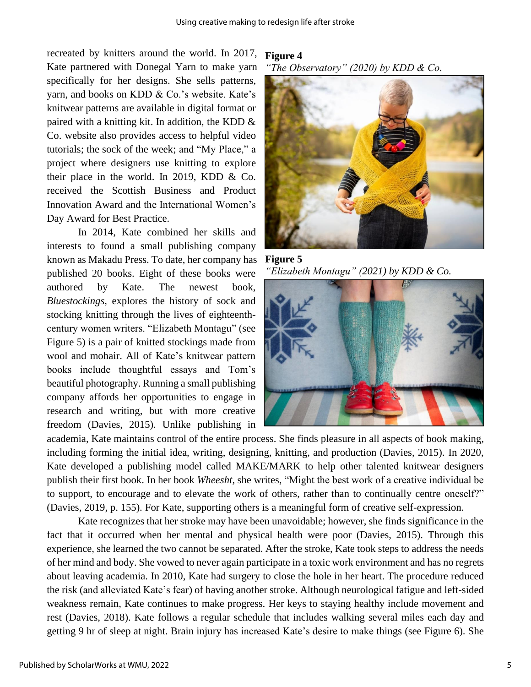recreated by knitters around the world. In 2017, Kate partnered with Donegal Yarn to make yarn specifically for her designs. She sells patterns, yarn, and books on KDD & Co.'s website. Kate's knitwear patterns are available in digital format or paired with a knitting kit. In addition, the KDD & Co. website also provides access to helpful video tutorials; the sock of the week; and "My Place," a project where designers use knitting to explore their place in the world. In 2019, KDD & Co. received the Scottish Business and Product Innovation Award and the International Women's Day Award for Best Practice.

In 2014, Kate combined her skills and interests to found a small publishing company known as Makadu Press. To date, her company has published 20 books. Eight of these books were authored by Kate. The newest book, *Bluestockings,* explores the history of sock and stocking knitting through the lives of eighteenthcentury women writers. "Elizabeth Montagu" (see Figure 5) is a pair of knitted stockings made from wool and mohair. All of Kate's knitwear pattern books include thoughtful essays and Tom's beautiful photography. Running a small publishing company affords her opportunities to engage in research and writing, but with more creative freedom (Davies, 2015). Unlike publishing in

## **Figure 4**

*"The Observatory" (2020) by KDD & Co.*



**Figure 5**  *"Elizabeth Montagu" (2021) by KDD & Co.*



academia, Kate maintains control of the entire process. She finds pleasure in all aspects of book making, including forming the initial idea, writing, designing, knitting, and production (Davies, 2015). In 2020, Kate developed a publishing model called MAKE/MARK to help other talented knitwear designers publish their first book. In her book *Wheesht,* she writes, "Might the best work of a creative individual be to support, to encourage and to elevate the work of others, rather than to continually centre oneself?" (Davies, 2019, p. 155). For Kate, supporting others is a meaningful form of creative self-expression.

Kate recognizes that her stroke may have been unavoidable; however, she finds significance in the fact that it occurred when her mental and physical health were poor (Davies, 2015). Through this experience, she learned the two cannot be separated. After the stroke, Kate took steps to address the needs of her mind and body. She vowed to never again participate in a toxic work environment and has no regrets about leaving academia. In 2010, Kate had surgery to close the hole in her heart. The procedure reduced the risk (and alleviated Kate's fear) of having another stroke. Although neurological fatigue and left-sided weakness remain, Kate continues to make progress. Her keys to staying healthy include movement and rest (Davies, 2018). Kate follows a regular schedule that includes walking several miles each day and getting 9 hr of sleep at night. Brain injury has increased Kate's desire to make things (see Figure 6). She